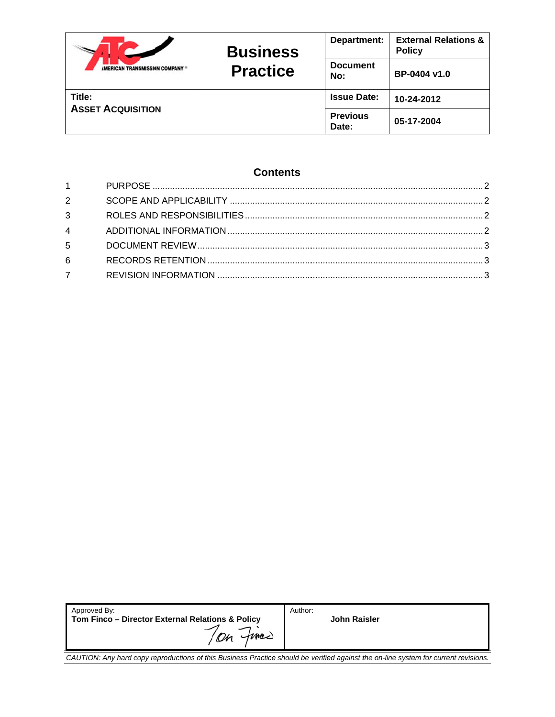|                                | <b>Business</b><br><b>Practice</b> | Department:              | <b>External Relations &amp;</b><br><b>Policy</b> |
|--------------------------------|------------------------------------|--------------------------|--------------------------------------------------|
| AMERICAN TRANSMISSION COMPANY® |                                    | <b>Document</b><br>No:   | BP-0404 v1.0                                     |
| Title:                         |                                    | <b>Issue Date:</b>       | 10-24-2012                                       |
| <b>ASSET ACQUISITION</b>       |                                    | <b>Previous</b><br>Date: | 05-17-2004                                       |

# **Contents**

| $1 \quad \Box$ |  |
|----------------|--|
| $2^{\sim}$     |  |
| $3^{\circ}$    |  |
| $\overline{4}$ |  |
| $5 -$          |  |
| 6              |  |
| 7              |  |

| Approved By:                                                      | Author:             |
|-------------------------------------------------------------------|---------------------|
| Tom Finco - Director External Relations & Policy<br>fmer<br>$\mu$ | <b>John Raisler</b> |
|                                                                   |                     |

CAUTION: Any hard copy reproductions of this Business Practice should be verified against the on-line system for current revisions.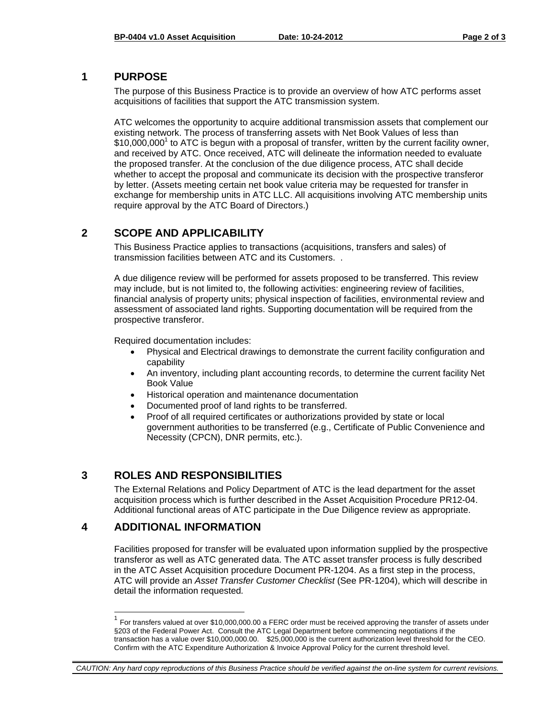#### **1 PURPOSE**

The purpose of this Business Practice is to provide an overview of how ATC performs asset acquisitions of facilities that support the ATC transmission system.

ATC welcomes the opportunity to acquire additional transmission assets that complement our existing network. The process of transferring assets with Net Book Values of less than  $$10,000,000$ <sup>1</sup> to ATC is begun with a proposal of transfer, written by the current facility owner, and received by ATC. Once received, ATC will delineate the information needed to evaluate the proposed transfer. At the conclusion of the due diligence process, ATC shall decide whether to accept the proposal and communicate its decision with the prospective transferor by letter. (Assets meeting certain net book value criteria may be requested for transfer in exchange for membership units in ATC LLC. All acquisitions involving ATC membership units require approval by the ATC Board of Directors.)

# **2 SCOPE AND APPLICABILITY**

This Business Practice applies to transactions (acquisitions, transfers and sales) of transmission facilities between ATC and its Customers. .

A due diligence review will be performed for assets proposed to be transferred. This review may include, but is not limited to, the following activities: engineering review of facilities, financial analysis of property units; physical inspection of facilities, environmental review and assessment of associated land rights. Supporting documentation will be required from the prospective transferor.

Required documentation includes:

- Physical and Electrical drawings to demonstrate the current facility configuration and capability
- An inventory, including plant accounting records, to determine the current facility Net Book Value
- Historical operation and maintenance documentation
- Documented proof of land rights to be transferred.
- Proof of all required certificates or authorizations provided by state or local government authorities to be transferred (e.g., Certificate of Public Convenience and Necessity (CPCN), DNR permits, etc.).

# **3 ROLES AND RESPONSIBILITIES**

The External Relations and Policy Department of ATC is the lead department for the asset acquisition process which is further described in the Asset Acquisition Procedure PR12-04. Additional functional areas of ATC participate in the Due Diligence review as appropriate.

# **4 ADDITIONAL INFORMATION**

-

Facilities proposed for transfer will be evaluated upon information supplied by the prospective transferor as well as ATC generated data. The ATC asset transfer process is fully described in the ATC Asset Acquisition procedure Document PR-1204. As a first step in the process, ATC will provide an *Asset Transfer Customer Checklist* (See PR-1204), which will describe in detail the information requested*.* 

#### *CAUTION: Any hard copy reproductions of this Business Practice should be verified against the on-line system for current revisions.*

 $1$  For transfers valued at over \$10,000,000.00 a FERC order must be received approving the transfer of assets under §203 of the Federal Power Act. Consult the ATC Legal Department before commencing negotiations if the transaction has a value over \$10,000,000.00. \$25,000,000 is the current authorization level threshold for the CEO. Confirm with the ATC Expenditure Authorization & Invoice Approval Policy for the current threshold level.